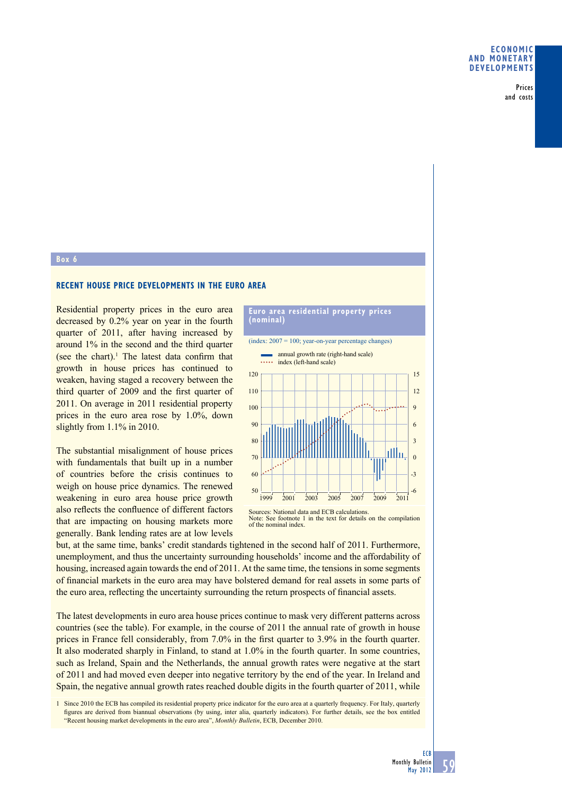Prices and costs

## **Box 6**

## **RECENT HOUSE PRICE DEVELOPMENTS IN THE EURO AREA**

Residential property prices in the euro area decreased by 0.2% year on year in the fourth quarter of 2011, after having increased by around 1% in the second and the third quarter (see the chart).<sup>1</sup> The latest data confirm that growth in house prices has continued to weaken, having staged a recovery between the third quarter of 2009 and the first quarter of 2011. On average in 2011 residential property prices in the euro area rose by 1.0%, down slightly from 1.1% in 2010.

The substantial misalignment of house prices with fundamentals that built up in a number of countries before the crisis continues to weigh on house price dynamics. The renewed weakening in euro area house price growth also reflects the confluence of different factors that are impacting on housing markets more generally. Bank lending rates are at low levels

## **Euro area residential property prices (nominal)**

(index: 2007 = 100; year-on-year percentage changes)



Note: See footnote 1 in the text for details on the compilation of the nominal index.

but, at the same time, banks' credit standards tightened in the second half of 2011. Furthermore, unemployment, and thus the uncertainty surrounding households' income and the affordability of housing, increased again towards the end of 2011. At the same time, the tensions in some segments of financial markets in the euro area may have bolstered demand for real assets in some parts of the euro area, reflecting the uncertainty surrounding the return prospects of financial assets.

The latest developments in euro area house prices continue to mask very different patterns across countries (see the table). For example, in the course of 2011 the annual rate of growth in house prices in France fell considerably, from 7.0% in the first quarter to 3.9% in the fourth quarter. It also moderated sharply in Finland, to stand at 1.0% in the fourth quarter. In some countries, such as Ireland, Spain and the Netherlands, the annual growth rates were negative at the start of 2011 and had moved even deeper into negative territory by the end of the year. In Ireland and Spain, the negative annual growth rates reached double digits in the fourth quarter of 2011, while

1 Since 2010 the ECB has compiled its residential property price indicator for the euro area at a quarterly frequency. For Italy, quarterly figures are derived from biannual observations (by using, inter alia, quarterly indicators). For further details, see the box entitled "Recent housing market developments in the euro area", *Monthly Bulletin*, ECB, December 2010.